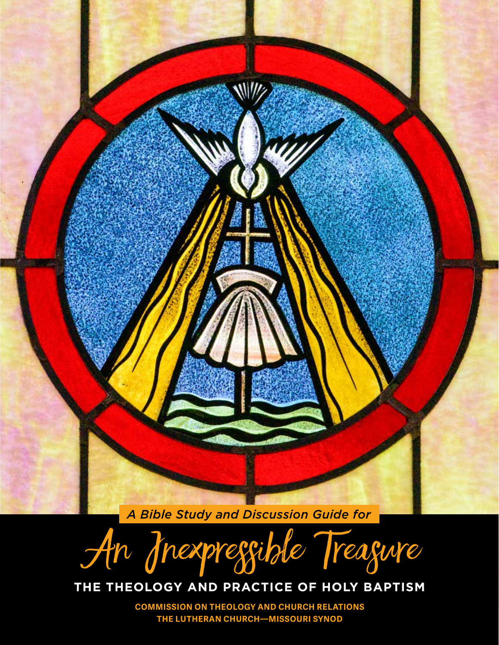

An Inexpressible Treasure

## **THE THEOLOGY AND PRACTICE OF HOLY BAPTISM**

**COMMISSION ON THEOLOGY AND CHURCH RELATIONS THE LUTHERAN CHURCH—MISSOURI SYNOD**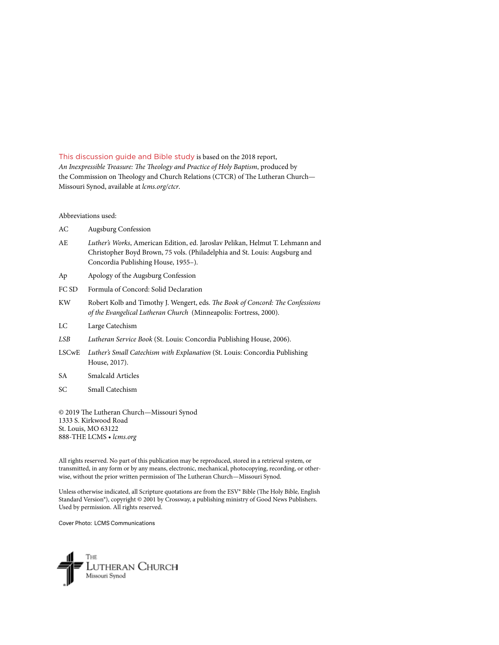This discussion guide and Bible study is based on the 2018 report, *An Inexpressible Treasure: The Theology and Practice of Holy Baptism*, produced by the Commission on Theology and Church Relations (CTCR) of The Lutheran Church— Missouri Synod, available at *[lcms.org/ctcr](http://lcms.org/ctcr)*.

Abbreviations used:

- AC Augsburg Confession
- AE *Luther's Works*, American Edition, ed. Jaroslav Pelikan, Helmut T. Lehmann and Christopher Boyd Brown, 75 vols. (Philadelphia and St. Louis: Augsburg and Concordia Publishing House, 1955–).
- Ap Apology of the Augsburg Confession
- FC SD Formula of Concord: Solid Declaration
- KW Robert Kolb and Timothy J. Wengert, eds. *The Book of Concord: The Confessions of the Evangelical Lutheran Church* (Minneapolis: Fortress, 2000).
- LC Large Catechism
- *LSB Lutheran Service Book* (St. Louis: Concordia Publishing House, 2006).
- LSCwE *Luther's Small Catechism with Explanation* (St. Louis: Concordia Publishing House, 2017).
- SA Smalcald Articles
- SC Small Catechism

© 2019 The Lutheran Church—Missouri Synod 1333 S. Kirkwood Road St. Louis, MO 63122 888-THE LCMS • *[lcms.org](http://lcms.org)*

All rights reserved. No part of this publication may be reproduced, stored in a retrieval system, or transmitted, in any form or by any means, electronic, mechanical, photocopying, recording, or otherwise, without the prior written permission of The Lutheran Church—Missouri Synod.

Unless otherwise indicated, all Scripture quotations are from the ESV® Bible (The Holy Bible, English Standard Version®), copyright © 2001 by Crossway, a publishing ministry of Good News Publishers. Used by permission. All rights reserved.

Cover Photo: LCMS Communications

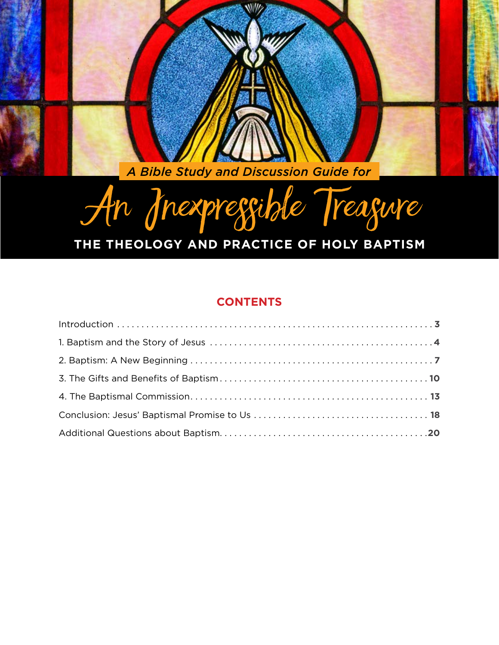A Bible Study and Discussion Guide for

# An Inexpressible Treasure

# THE THEOLOGY AND PRACTICE OF HOLY BAPTISM

## **CONTENTS**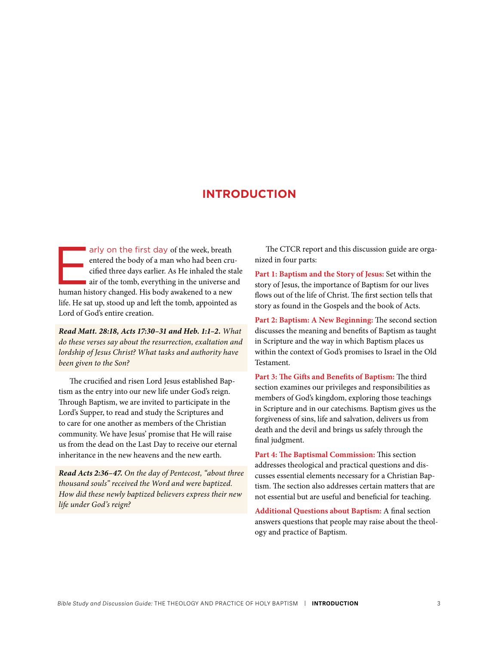## **INTRODUCTION**

<span id="page-3-0"></span>arly on the first day of the week, breath entered the body of a man who had been cru cified three days earlier. As He inhaled the stair of the tomb, everything in the universe ar human history changed. His body awakened to entered the body of a man who had been crucified three days earlier. As He inhaled the stale air of the tomb, everything in the universe and life. He sat up, stood up and left the tomb, appointed as Lord of God's entire creation.

*Read Matt. 28:18, Acts 17:30–31 and Heb. 1:1–2. What do these verses say about the resurrection, exaltation and lordship of Jesus Christ? What tasks and authority have been given to the Son?*

The crucified and risen Lord Jesus established Baptism as the entry into our new life under God's reign. Through Baptism, we are invited to participate in the Lord's Supper, to read and study the Scriptures and to care for one another as members of the Christian community. We have Jesus' promise that He will raise us from the dead on the Last Day to receive our eternal inheritance in the new heavens and the new earth.

*Read Acts 2:36–47. On the day of Pentecost, "about three thousand souls" received the Word and were baptized. How did these newly baptized believers express their new life under God's reign?*

The CTCR report and this discussion guide are organized in four parts:

**Part 1: Baptism and the Story of Jesus:** Set within the story of Jesus, the importance of Baptism for our lives flows out of the life of Christ. The first section tells that story as found in the Gospels and the book of Acts.

**Part 2: Baptism: A New Beginning:** The second section discusses the meaning and benefits of Baptism as taught in Scripture and the way in which Baptism places us within the context of God's promises to Israel in the Old Testament.

**Part 3: The Gifts and Benefits of Baptism:** The third section examines our privileges and responsibilities as members of God's kingdom, exploring those teachings in Scripture and in our catechisms. Baptism gives us the forgiveness of sins, life and salvation, delivers us from death and the devil and brings us safely through the final judgment.

**Part 4: The Baptismal Commission:** This section addresses theological and practical questions and discusses essential elements necessary for a Christian Baptism. The section also addresses certain matters that are not essential but are useful and beneficial for teaching.

**Additional Questions about Baptism:** A final section answers questions that people may raise about the theology and practice of Baptism.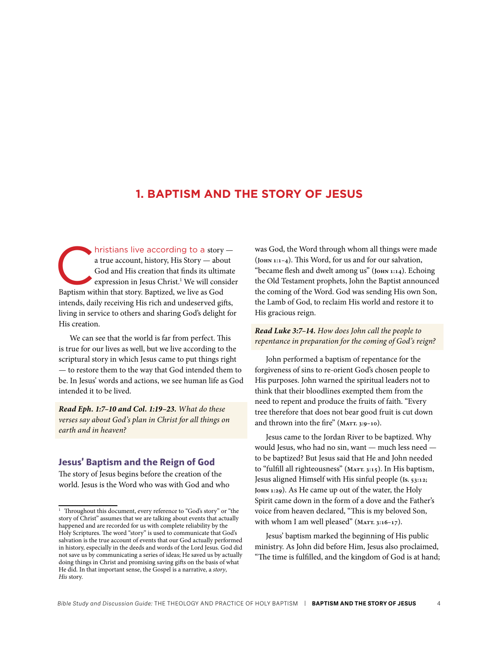## <span id="page-4-0"></span>**1. BAPTISM AND THE STORY OF JESUS**

hristians live according to a story —<br>a true account, history, His Story — about<br>God and His creation that finds its ultimate<br>expression in Jesus Christ.<sup>1</sup> We will conside<br>Baptism within that story. Baptized, we live as G a true account, history, His Story — about God and His creation that finds its ultimate expression in Jesus Christ.<sup>1</sup> We will consider Baptism within that story. Baptized, we live as God intends, daily receiving His rich and undeserved gifts, living in service to others and sharing God's delight for His creation.

We can see that the world is far from perfect. This is true for our lives as well, but we live according to the scriptural story in which Jesus came to put things right — to restore them to the way that God intended them to be. In Jesus' words and actions, we see human life as God intended it to be lived.

*Read Eph. 1:7–10 and Col. 1:19–23. What do these verses say about God's plan in Christ for all things on earth and in heaven?*

#### **Jesus' Baptism and the Reign of God**

The story of Jesus begins before the creation of the world. Jesus is the Word who was with God and who was God, the Word through whom all things were made (**John 1:1–4**). This Word, for us and for our salvation, "became flesh and dwelt among us" (**John 1:14**). Echoing the Old Testament prophets, John the Baptist announced the coming of the Word. God was sending His own Son, the Lamb of God, to reclaim His world and restore it to His gracious reign.

*Read Luke 3:7–14. How does John call the people to repentance in preparation for the coming of God's reign?*

John performed a baptism of repentance for the forgiveness of sins to re-orient God's chosen people to His purposes. John warned the spiritual leaders not to think that their bloodlines exempted them from the need to repent and produce the fruits of faith. "Every tree therefore that does not bear good fruit is cut down and thrown into the fire" (MATT. 3:9-10).

Jesus came to the Jordan River to be baptized. Why would Jesus, who had no sin, want — much less need to be baptized? But Jesus said that He and John needed to "fulfill all righteousness" (**Matt. 3:15**). In His baptism, Jesus aligned Himself with His sinful people (**Is. 53:12; John 1:29**). As He came up out of the water, the Holy Spirit came down in the form of a dove and the Father's voice from heaven declared, "This is my beloved Son, with whom I am well pleased" (MATT. 3:16-17).

Jesus' baptism marked the beginning of His public ministry. As John did before Him, Jesus also proclaimed, "The time is fulfilled, and the kingdom of God is at hand;

<sup>&</sup>lt;sup>1</sup> Throughout this document, every reference to "God's story" or "the story of Christ" assumes that we are talking about events that actually happened and are recorded for us with complete reliability by the Holy Scriptures. The word "story" is used to communicate that God's salvation is the true account of events that our God actually performed in history, especially in the deeds and words of the Lord Jesus. God did not save us by communicating a series of ideas; He saved us by actually doing things in Christ and promising saving gifts on the basis of what He did. In that important sense, the Gospel is a narrative, a *story*, *His* story.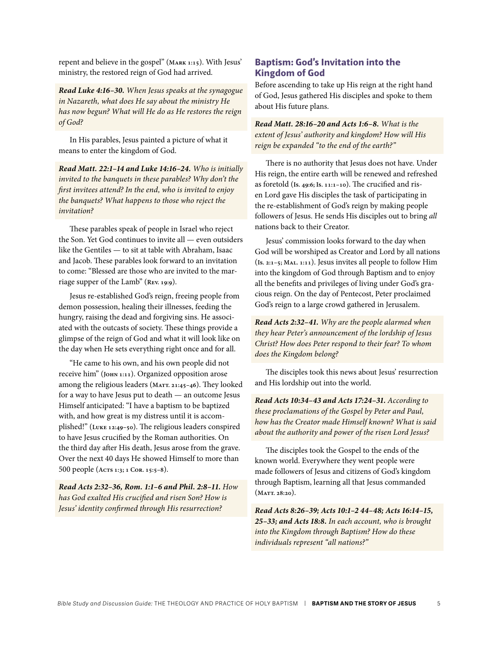repent and believe in the gospel" (**Mark 1:15**). With Jesus' ministry, the restored reign of God had arrived.

*Read Luke 4:16–30. When Jesus speaks at the synagogue in Nazareth, what does He say about the ministry He has now begun? What will He do as He restores the reign of God?*

In His parables, Jesus painted a picture of what it means to enter the kingdom of God.

*Read Matt. 22:1–14 and Luke 14:16–24. Who is initially invited to the banquets in these parables? Why don't the first invitees attend? In the end, who is invited to enjoy the banquets? What happens to those who reject the invitation?*

These parables speak of people in Israel who reject the Son. Yet God continues to invite all — even outsiders like the Gentiles — to sit at table with Abraham, Isaac and Jacob. These parables look forward to an invitation to come: "Blessed are those who are invited to the marriage supper of the Lamb" (**Rev. 19:9**).

Jesus re-established God's reign, freeing people from demon possession, healing their illnesses, feeding the hungry, raising the dead and forgiving sins. He associated with the outcasts of society. These things provide a glimpse of the reign of God and what it will look like on the day when He sets everything right once and for all.

"He came to his own, and his own people did not receive him" (**John 1:11**). Organized opposition arose among the religious leaders (**Matt. 21:45–46**). They looked for a way to have Jesus put to death — an outcome Jesus Himself anticipated: "I have a baptism to be baptized with, and how great is my distress until it is accomplished!" (**Luke 12:49–50**). The religious leaders conspired to have Jesus crucified by the Roman authorities. On the third day after His death, Jesus arose from the grave. Over the next 40 days He showed Himself to more than 500 people (**Acts 1:3; 1 Cor. 15:5–8**).

*Read Acts 2:32–36, Rom. 1:1–6 and Phil. 2:8–11. How has God exalted His crucified and risen Son? How is Jesus' identity confirmed through His resurrection?*

#### **Baptism: God's Invitation into the Kingdom of God**

Before ascending to take up His reign at the right hand of God, Jesus gathered His disciples and spoke to them about His future plans.

*Read Matt. 28:16–20 and Acts 1:6–8. What is the extent of Jesus' authority and kingdom? How will His reign be expanded "to the end of the earth?"*

There is no authority that Jesus does not have. Under His reign, the entire earth will be renewed and refreshed as foretold (**Is. 49:6; Is. 11:1–10**). The crucified and risen Lord gave His disciples the task of participating in the re-establishment of God's reign by making people followers of Jesus. He sends His disciples out to bring *all*  nations back to their Creator.

Jesus' commission looks forward to the day when God will be worshiped as Creator and Lord by all nations (**Is. 2:1–5; Mal. 1:11**). Jesus invites all people to follow Him into the kingdom of God through Baptism and to enjoy all the benefits and privileges of living under God's gracious reign. On the day of Pentecost, Peter proclaimed God's reign to a large crowd gathered in Jerusalem.

*Read Acts 2:32–41. Why are the people alarmed when they hear Peter's announcement of the lordship of Jesus Christ? How does Peter respond to their fear? To whom does the Kingdom belong?*

The disciples took this news about Jesus' resurrection and His lordship out into the world.

*Read Acts 10:34–43 and Acts 17:24–31. According to these proclamations of the Gospel by Peter and Paul, how has the Creator made Himself known? What is said about the authority and power of the risen Lord Jesus?*

The disciples took the Gospel to the ends of the known world. Everywhere they went people were made followers of Jesus and citizens of God's kingdom through Baptism, learning all that Jesus commanded (**Matt. 28:20**).

*Read Acts 8:26–39; Acts 10:1–2 44–48; Acts 16:14–15, 25–33; and Acts 18:8. In each account, who is brought into the Kingdom through Baptism? How do these individuals represent "all nations?"*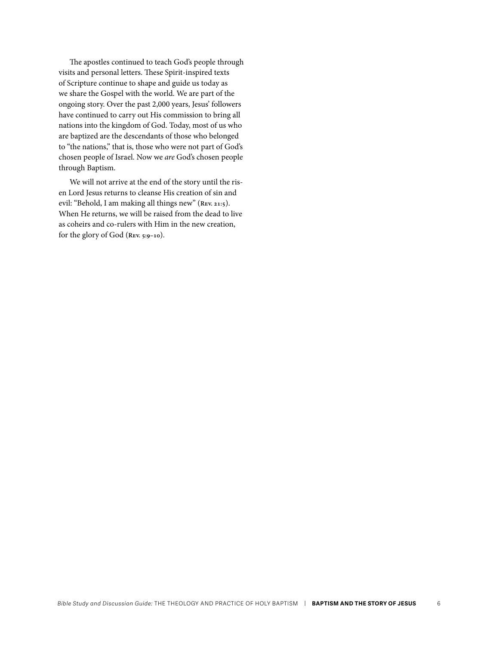The apostles continued to teach God's people through visits and personal letters. These Spirit-inspired texts of Scripture continue to shape and guide us today as we share the Gospel with the world. We are part of the ongoing story. Over the past 2,000 years, Jesus' followers have continued to carry out His commission to bring all nations into the kingdom of God. Today, most of us who are baptized are the descendants of those who belonged to "the nations," that is, those who were not part of God's chosen people of Israel. Now we *are* God's chosen people through Baptism.

We will not arrive at the end of the story until the risen Lord Jesus returns to cleanse His creation of sin and evil: "Behold, I am making all things new" (**Rev. 21:5**). When He returns, we will be raised from the dead to live as coheirs and co-rulers with Him in the new creation, for the glory of God (**Rev. 5:9–10**).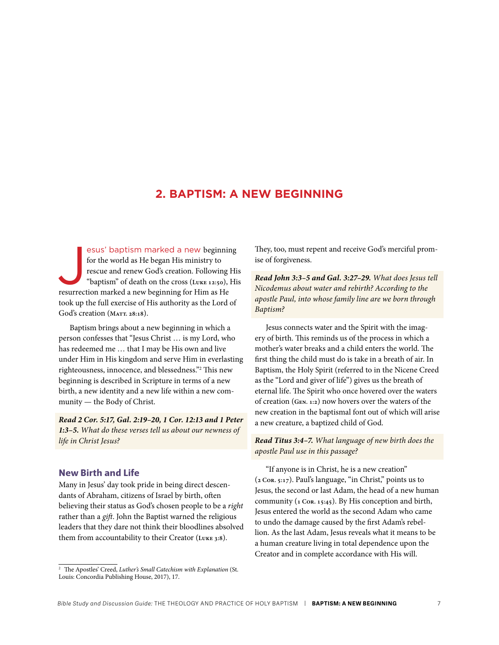## <span id="page-7-0"></span>**2. BAPTISM: A NEW BEGINNING**

esus' baptism marked a new beginning for the world as He began His ministry to rescue and renew God's creation. Following "baptism" of death on the cross (Luke 12:50), resurrection marked a new beginning for Him as He esus' baptism marked a new beginning for the world as He began His ministry to rescue and renew God's creation. Following His "baptism" of death on the cross (**Luke 12:50**), His took up the full exercise of His authority as the Lord of God's creation (MATT. 28:18).

Baptism brings about a new beginning in which a person confesses that "Jesus Christ … is my Lord, who has redeemed me … that I may be His own and live under Him in His kingdom and serve Him in everlasting righteousness, innocence, and blessedness."2 This new beginning is described in Scripture in terms of a new birth, a new identity and a new life within a new community — the Body of Christ.

*Read 2 Cor. 5:17, Gal. 2:19–20, 1 Cor. 12:13 and 1 Peter 1:3–5. What do these verses tell us about our newness of life in Christ Jesus?*

#### **New Birth and Life**

Many in Jesus' day took pride in being direct descendants of Abraham, citizens of Israel by birth, often believing their status as God's chosen people to be a *right* rather than a *gift*. John the Baptist warned the religious leaders that they dare not think their bloodlines absolved them from accountability to their Creator (**Luke 3:8**).

They, too, must repent and receive God's merciful promise of forgiveness.

*Read John 3:3–5 and Gal. 3:27–29. What does Jesus tell Nicodemus about water and rebirth? According to the apostle Paul, into whose family line are we born through Baptism?*

Jesus connects water and the Spirit with the imagery of birth. This reminds us of the process in which a mother's water breaks and a child enters the world. The first thing the child must do is take in a breath of air. In Baptism, the Holy Spirit (referred to in the Nicene Creed as the "Lord and giver of life") gives us the breath of eternal life. The Spirit who once hovered over the waters of creation (**Gen. 1:2**) now hovers over the waters of the new creation in the baptismal font out of which will arise a new creature, a baptized child of God.

*Read Titus 3:4–7. What language of new birth does the apostle Paul use in this passage?* 

"If anyone is in Christ, he is a new creation" (**2 Cor. 5:17**). Paul's language, "in Christ," points us to Jesus, the second or last Adam, the head of a new human community (**1 Cor. 15:45**). By His conception and birth, Jesus entered the world as the second Adam who came to undo the damage caused by the first Adam's rebellion. As the last Adam, Jesus reveals what it means to be a human creature living in total dependence upon the Creator and in complete accordance with His will.

<sup>2</sup> The Apostles' Creed, *Luther's Small Catechism with Explanation* (St. Louis: Concordia Publishing House, 2017), 17.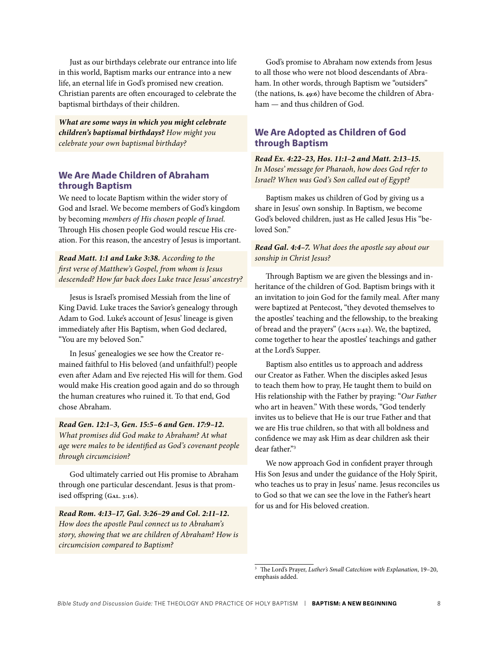Just as our birthdays celebrate our entrance into life in this world, Baptism marks our entrance into a new life, an eternal life in God's promised new creation. Christian parents are often encouraged to celebrate the baptismal birthdays of their children.

*What are some ways in which you might celebrate children's baptismal birthdays? How might you celebrate your own baptismal birthday?*

#### **We Are Made Children of Abraham through Baptism**

We need to locate Baptism within the wider story of God and Israel. We become members of God's kingdom by becoming *members of His chosen people of Israel.* Through His chosen people God would rescue His creation. For this reason, the ancestry of Jesus is important.

*Read Matt. 1:1 and Luke 3:38. According to the first verse of Matthew's Gospel, from whom is Jesus descended? How far back does Luke trace Jesus' ancestry?* 

Jesus is Israel's promised Messiah from the line of King David. Luke traces the Savior's genealogy through Adam to God. Luke's account of Jesus' lineage is given immediately after His Baptism, when God declared, "You are my beloved Son."

In Jesus' genealogies we see how the Creator remained faithful to His beloved (and unfaithful!) people even after Adam and Eve rejected His will for them. God would make His creation good again and do so through the human creatures who ruined it. To that end, God chose Abraham.

*Read Gen. 12:1–3, Gen. 15:5–6 and Gen. 17:9–12. What promises did God make to Abraham? At what age were males to be identified as God's covenant people through circumcision?*

God ultimately carried out His promise to Abraham through one particular descendant. Jesus is that promised offspring (**Gal. 3:16**).

*Read Rom. 4:13–17, Gal. 3:26–29 and Col. 2:11–12. How does the apostle Paul connect us to Abraham's story, showing that we are children of Abraham? How is circumcision compared to Baptism?*

God's promise to Abraham now extends from Jesus to all those who were not blood descendants of Abraham. In other words, through Baptism we "outsiders" (the nations, **Is. 49:6**) have become the children of Abraham — and thus children of God.

#### **We Are Adopted as Children of God through Baptism**

*Read Ex. 4:22–23, Hos. 11:1–2 and Matt. 2:13–15. In Moses' message for Pharaoh, how does God refer to Israel? When was God's Son called out of Egypt?*

Baptism makes us children of God by giving us a share in Jesus' own sonship. In Baptism, we become God's beloved children, just as He called Jesus His "beloved Son."

#### *Read Gal. 4:4–7. What does the apostle say about our sonship in Christ Jesus?*

Through Baptism we are given the blessings and inheritance of the children of God. Baptism brings with it an invitation to join God for the family meal. After many were baptized at Pentecost, "they devoted themselves to the apostles' teaching and the fellowship, to the breaking of bread and the prayers" (**Acts 2:42**). We, the baptized, come together to hear the apostles' teachings and gather at the Lord's Supper.

Baptism also entitles us to approach and address our Creator as Father. When the disciples asked Jesus to teach them how to pray, He taught them to build on His relationship with the Father by praying: "*Our Father* who art in heaven." With these words, "God tenderly invites us to believe that He is our true Father and that we are His true children, so that with all boldness and confidence we may ask Him as dear children ask their dear father."3

We now approach God in confident prayer through His Son Jesus and under the guidance of the Holy Spirit, who teaches us to pray in Jesus' name. Jesus reconciles us to God so that we can see the love in the Father's heart for us and for His beloved creation.

<sup>3</sup> The Lord's Prayer, *Luther's Small Catechism with Explanation*, 19–20, emphasis added.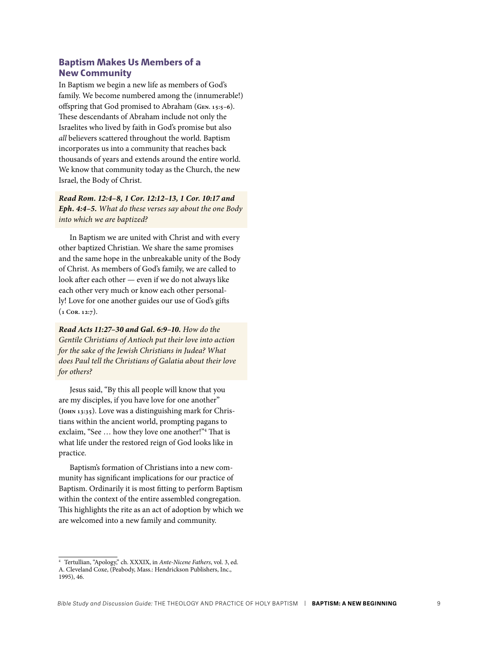#### **Baptism Makes Us Members of a New Community**

In Baptism we begin a new life as members of God's family. We become numbered among the (innumerable!) offspring that God promised to Abraham (**Gen. 15:5–6**). These descendants of Abraham include not only the Israelites who lived by faith in God's promise but also *all* believers scattered throughout the world. Baptism incorporates us into a community that reaches back thousands of years and extends around the entire world. We know that community today as the Church, the new Israel, the Body of Christ.

*Read Rom. 12:4–8, 1 Cor. 12:12–13, 1 Cor. 10:17 and Eph. 4:4–5. What do these verses say about the one Body into which we are baptized?*

In Baptism we are united with Christ and with every other baptized Christian. We share the same promises and the same hope in the unbreakable unity of the Body of Christ. As members of God's family, we are called to look after each other — even if we do not always like each other very much or know each other personally! Love for one another guides our use of God's gifts (**1 Cor. 12:7**).

*Read Acts 11:27–30 and Gal. 6:9–10. How do the Gentile Christians of Antioch put their love into action for the sake of the Jewish Christians in Judea? What does Paul tell the Christians of Galatia about their love for others?*

Jesus said, "By this all people will know that you are my disciples, if you have love for one another" (**John 13:35**). Love was a distinguishing mark for Christians within the ancient world, prompting pagans to exclaim, "See … how they love one another!"4 That is what life under the restored reign of God looks like in practice.

Baptism's formation of Christians into a new community has significant implications for our practice of Baptism. Ordinarily it is most fitting to perform Baptism within the context of the entire assembled congregation. This highlights the rite as an act of adoption by which we are welcomed into a new family and community.

<sup>4</sup> Tertullian, "Apology," ch. XXXIX, in *Ante-Nicene Fathers*, vol. 3, ed. A. Cleveland Coxe, (Peabody, Mass.: Hendrickson Publishers, Inc., 1995), 46.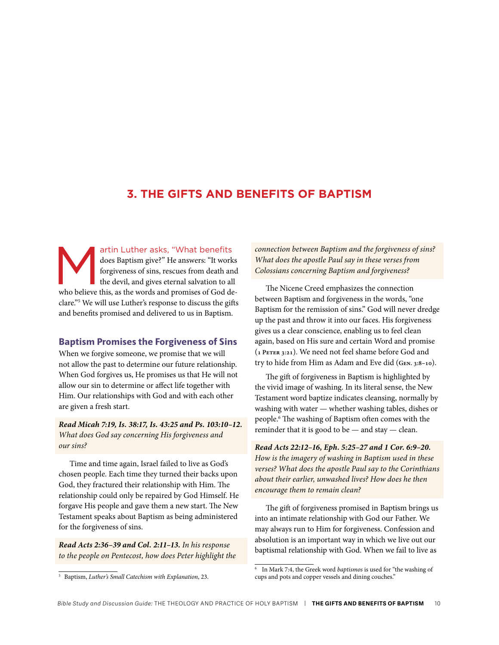## <span id="page-10-0"></span>**3. THE GIFTS AND BENEFITS OF BAPTISM**

artin Luther asks, "What benefits<br>does Baptism give?" He answers: "It work<br>forgiveness of sins, rescues from death an<br>the devil, and gives eternal salvation to all<br>who believe this, as the words and promises of God de does Baptism give?" He answers: "It works forgiveness of sins, rescues from death and the devil, and gives eternal salvation to all who believe this, as the words and promises of God declare."5 We will use Luther's response to discuss the gifts and benefits promised and delivered to us in Baptism.

#### **Baptism Promises the Forgiveness of Sins**

When we forgive someone, we promise that we will not allow the past to determine our future relationship. When God forgives us, He promises us that He will not allow our sin to determine or affect life together with Him. Our relationships with God and with each other are given a fresh start.

*Read Micah 7:19, Is. 38:17, Is. 43:25 and Ps. 103:10–12. What does God say concerning His forgiveness and our sins?*

Time and time again, Israel failed to live as God's chosen people. Each time they turned their backs upon God, they fractured their relationship with Him. The relationship could only be repaired by God Himself. He forgave His people and gave them a new start. The New Testament speaks about Baptism as being administered for the forgiveness of sins.

*Read Acts 2:36–39 and Col. 2:11–13. In his response to the people on Pentecost, how does Peter highlight the* 

<sup>5</sup> Baptism, *Luther's Small Catechism with Explanation*, 23.

*connection between Baptism and the forgiveness of sins? What does the apostle Paul say in these verses from Colossians concerning Baptism and forgiveness?* 

The Nicene Creed emphasizes the connection between Baptism and forgiveness in the words, "one Baptism for the remission of sins." God will never dredge up the past and throw it into our faces. His forgiveness gives us a clear conscience, enabling us to feel clean again, based on His sure and certain Word and promise (**1 Peter 3:21**). We need not feel shame before God and try to hide from Him as Adam and Eve did (**Gen. 3:8–10**).

The gift of forgiveness in Baptism is highlighted by the vivid image of washing. In its literal sense, the New Testament word baptize indicates cleansing, normally by washing with water — whether washing tables, dishes or people.6 The washing of Baptism often comes with the reminder that it is good to be  $-$  and stay  $-$  clean.

*Read Acts 22:12–16, Eph. 5:25–27 and 1 Cor. 6:9–20. How is the imagery of washing in Baptism used in these verses? What does the apostle Paul say to the Corinthians about their earlier, unwashed lives? How does he then encourage them to remain clean?*

The gift of forgiveness promised in Baptism brings us into an intimate relationship with God our Father. We may always run to Him for forgiveness. Confession and absolution is an important way in which we live out our baptismal relationship with God. When we fail to live as

<sup>6</sup> In Mark 7:4, the Greek word *baptismos* is used for "the washing of cups and pots and copper vessels and dining couches."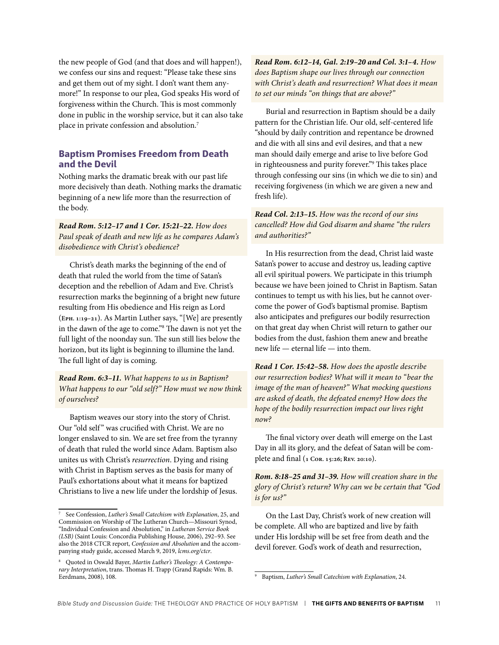the new people of God (and that does and will happen!), we confess our sins and request: "Please take these sins and get them out of my sight. I don't want them anymore!" In response to our plea, God speaks His word of forgiveness within the Church. This is most commonly done in public in the worship service, but it can also take place in private confession and absolution.7

#### **Baptism Promises Freedom from Death and the Devil**

Nothing marks the dramatic break with our past life more decisively than death. Nothing marks the dramatic beginning of a new life more than the resurrection of the body.

*Read Rom. 5:12–17 and 1 Cor. 15:21–22. How does Paul speak of death and new life as he compares Adam's disobedience with Christ's obedience?*

Christ's death marks the beginning of the end of death that ruled the world from the time of Satan's deception and the rebellion of Adam and Eve. Christ's resurrection marks the beginning of a bright new future resulting from His obedience and His reign as Lord (**Eph. 1:19–21**). As Martin Luther says, "[We] are presently in the dawn of the age to come."8 The dawn is not yet the full light of the noonday sun. The sun still lies below the horizon, but its light is beginning to illumine the land. The full light of day is coming.

*Read Rom. 6:3–11. What happens to us in Baptism? What happens to our "old self?" How must we now think of ourselves?*

Baptism weaves our story into the story of Christ. Our "old self" was crucified with Christ. We are no longer enslaved to sin. We are set free from the tyranny of death that ruled the world since Adam. Baptism also unites us with Christ's *resurrection*. Dying and rising with Christ in Baptism serves as the basis for many of Paul's exhortations about what it means for baptized Christians to live a new life under the lordship of Jesus.

*Read Rom. 6:12–14, Gal. 2:19–20 and Col. 3:1–4. How does Baptism shape our lives through our connection with Christ's death and resurrection? What does it mean to set our minds "on things that are above?"*

Burial and resurrection in Baptism should be a daily pattern for the Christian life. Our old, self-centered life "should by daily contrition and repentance be drowned and die with all sins and evil desires, and that a new man should daily emerge and arise to live before God in righteousness and purity forever."9 This takes place through confessing our sins (in which we die to sin) and receiving forgiveness (in which we are given a new and fresh life).

#### *Read Col. 2:13–15. How was the record of our sins cancelled? How did God disarm and shame "the rulers and authorities?"*

In His resurrection from the dead, Christ laid waste Satan's power to accuse and destroy us, leading captive all evil spiritual powers. We participate in this triumph because we have been joined to Christ in Baptism. Satan continues to tempt us with his lies, but he cannot overcome the power of God's baptismal promise. Baptism also anticipates and prefigures our bodily resurrection on that great day when Christ will return to gather our bodies from the dust, fashion them anew and breathe new life — eternal life — into them.

*Read 1 Cor. 15:42–58. How does the apostle describe our resurrection bodies? What will it mean to "bear the image of the man of heaven?" What mocking questions are asked of death, the defeated enemy? How does the hope of the bodily resurrection impact our lives right now?*

The final victory over death will emerge on the Last Day in all its glory, and the defeat of Satan will be complete and final (**1 Cor. 15:26; Rev. 20:10**).

*Rom. 8:18–25 and 31–39. How will creation share in the glory of Christ's return? Why can we be certain that "God is for us?"*

On the Last Day, Christ's work of new creation will be complete. All who are baptized and live by faith under His lordship will be set free from death and the devil forever. God's work of death and resurrection,

<sup>7</sup> See Confession, *Luther's Small Catechism with Explanation*, 25, and Commission on Worship of The Lutheran Church—Missouri Synod, "Individual Confession and Absolution," in *Lutheran Service Book (LSB)* (Saint Louis: Concordia Publishing House, 2006), 292–93. See also the 2018 CTCR report, *Confession and Absolution* and the accompanying study guide, accessed March 9, 2019, *[lcms.org/ctcr](http://lcms.org/ctcr)*.

<sup>8</sup> Quoted in Oswald Bayer, *Martin Luther's Theology: A Contemporary Interpretation*, trans. Thomas H. Trapp (Grand Rapids: Wm. B. Eerdmans, 2008), 108.

<sup>9</sup> Baptism, *Luther's Small Catechism with Explanation*, 24.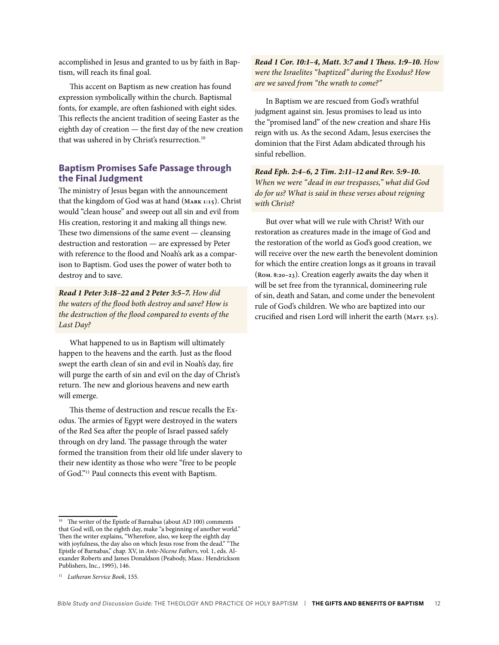accomplished in Jesus and granted to us by faith in Baptism, will reach its final goal.

This accent on Baptism as new creation has found expression symbolically within the church. Baptismal fonts, for example, are often fashioned with eight sides. This reflects the ancient tradition of seeing Easter as the eighth day of creation — the first day of the new creation that was ushered in by Christ's resurrection.<sup>10</sup>

#### **Baptism Promises Safe Passage through the Final Judgment**

The ministry of Jesus began with the announcement that the kingdom of God was at hand (**Mark 1:15**). Christ would "clean house" and sweep out all sin and evil from His creation, restoring it and making all things new. These two dimensions of the same event — cleansing destruction and restoration — are expressed by Peter with reference to the flood and Noah's ark as a comparison to Baptism. God uses the power of water both to destroy and to save.

*Read 1 Peter 3:18–22 and 2 Peter 3:5–7. How did the waters of the flood both destroy and save? How is the destruction of the flood compared to events of the Last Day?*

What happened to us in Baptism will ultimately happen to the heavens and the earth. Just as the flood swept the earth clean of sin and evil in Noah's day, fire will purge the earth of sin and evil on the day of Christ's return. The new and glorious heavens and new earth will emerge.

This theme of destruction and rescue recalls the Exodus. The armies of Egypt were destroyed in the waters of the Red Sea after the people of Israel passed safely through on dry land. The passage through the water formed the transition from their old life under slavery to their new identity as those who were "free to be people of God."11 Paul connects this event with Baptism.

*Read 1 Cor. 10:1–4, Matt. 3:7 and 1 Thess. 1:9–10. How were the Israelites "baptized" during the Exodus? How are we saved from "the wrath to come?"*

In Baptism we are rescued from God's wrathful judgment against sin. Jesus promises to lead us into the "promised land" of the new creation and share His reign with us. As the second Adam, Jesus exercises the dominion that the First Adam abdicated through his sinful rebellion.

*Read Eph. 2:4–6, 2 Tim. 2:11–12 and Rev. 5:9–10. When we were "dead in our trespasses," what did God do for us? What is said in these verses about reigning with Christ?*

But over what will we rule with Christ? With our restoration as creatures made in the image of God and the restoration of the world as God's good creation, we will receive over the new earth the benevolent dominion for which the entire creation longs as it groans in travail (**Rom. 8:20–23**). Creation eagerly awaits the day when it will be set free from the tyrannical, domineering rule of sin, death and Satan, and come under the benevolent rule of God's children. We who are baptized into our crucified and risen Lord will inherit the earth (**Matt. 5:5**).

The writer of the Epistle of Barnabas (about AD 100) comments that God will, on the eighth day, make "a beginning of another world." Then the writer explains, "Wherefore, also, we keep the eighth day with joyfulness, the day also on which Jesus rose from the dead." "The Epistle of Barnabas," chap. XV, in *Ante-Nicene Fathers*, vol. 1, eds. Alexander Roberts and James Donaldson (Peabody, Mass.: Hendrickson Publishers, Inc., 1995), 146.

<sup>11</sup> *Lutheran Service Book*, 155.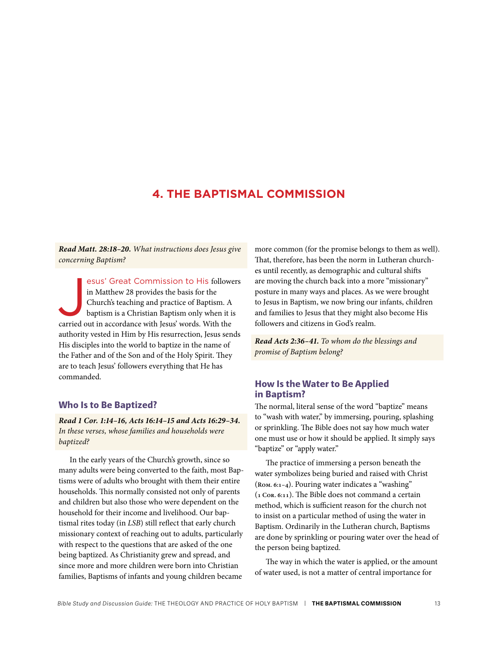## <span id="page-13-0"></span>**4. THE BAPTISMAL COMMISSION**

*Read Matt. 28:18–20. What instructions does Jesus give concerning Baptism?*

esus' Great Commission to His followe<br>in Matthew 28 provides the basis for the<br>Church's teaching and practice of Baptism. A<br>baptism is a Christian Baptism only when it is<br>carried out in accordance with Jesus' words. With t esus' Great Commission to His followers in Matthew 28 provides the basis for the Church's teaching and practice of Baptism. A baptism is a Christian Baptism only when it is authority vested in Him by His resurrection, Jesus sends His disciples into the world to baptize in the name of the Father and of the Son and of the Holy Spirit. They are to teach Jesus' followers everything that He has commanded.

#### **Who Is to Be Baptized?**

*Read 1 Cor. 1:14–16, Acts 16:14–15 and Acts 16:29–34. In these verses, whose families and households were baptized?*

In the early years of the Church's growth, since so many adults were being converted to the faith, most Baptisms were of adults who brought with them their entire households. This normally consisted not only of parents and children but also those who were dependent on the household for their income and livelihood. Our baptismal rites today (in *LSB*) still reflect that early church missionary context of reaching out to adults, particularly with respect to the questions that are asked of the one being baptized. As Christianity grew and spread, and since more and more children were born into Christian families, Baptisms of infants and young children became

more common (for the promise belongs to them as well). That, therefore, has been the norm in Lutheran churches until recently, as demographic and cultural shifts are moving the church back into a more "missionary" posture in many ways and places. As we were brought to Jesus in Baptism, we now bring our infants, children and families to Jesus that they might also become His followers and citizens in God's realm.

*Read Acts 2:36–41. To whom do the blessings and promise of Baptism belong?*

#### **How Is the Water to Be Applied in Baptism?**

The normal, literal sense of the word "baptize" means to "wash with water," by immersing, pouring, splashing or sprinkling. The Bible does not say how much water one must use or how it should be applied. It simply says "baptize" or "apply water."

The practice of immersing a person beneath the water symbolizes being buried and raised with Christ (**Rom. 6:1–4**). Pouring water indicates a "washing" (**1 Cor. 6:11**). The Bible does not command a certain method, which is sufficient reason for the church not to insist on a particular method of using the water in Baptism. Ordinarily in the Lutheran church, Baptisms are done by sprinkling or pouring water over the head of the person being baptized.

The way in which the water is applied, or the amount of water used, is not a matter of central importance for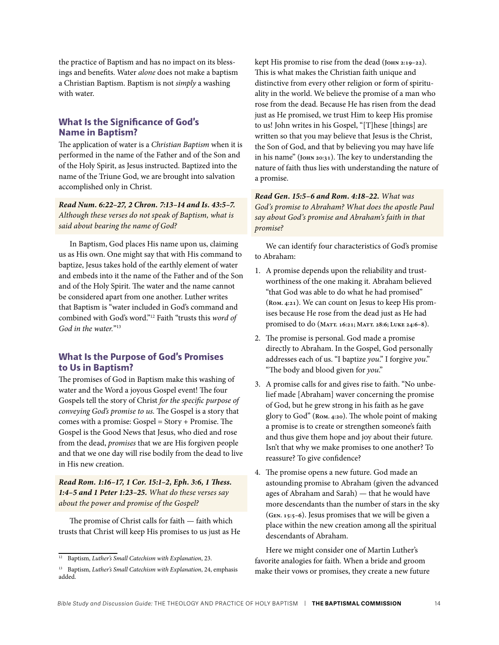the practice of Baptism and has no impact on its blessings and benefits. Water *alone* does not make a baptism a Christian Baptism. Baptism is not *simply* a washing with water.

#### **What Is the Significance of God's Name in Baptism?**

The application of water is a *Christian Baptism* when it is performed in the name of the Father and of the Son and of the Holy Spirit, as Jesus instructed. Baptized into the name of the Triune God, we are brought into salvation accomplished only in Christ.

*Read Num. 6:22–27, 2 Chron. 7:13–14 and Is. 43:5–7. Although these verses do not speak of Baptism, what is said about bearing the name of God?*

In Baptism, God places His name upon us, claiming us as His own. One might say that with His command to baptize, Jesus takes hold of the earthly element of water and embeds into it the name of the Father and of the Son and of the Holy Spirit. The water and the name cannot be considered apart from one another. Luther writes that Baptism is "water included in God's command and combined with God's word."12 Faith "trusts this *word of God in the water.*"13

#### **What Is the Purpose of God's Promises to Us in Baptism?**

The promises of God in Baptism make this washing of water and the Word a joyous Gospel event! The four Gospels tell the story of Christ *for the specific purpose of conveying God's promise to us.* The Gospel is a story that comes with a promise: Gospel = Story + Promise. The Gospel is the Good News that Jesus, who died and rose from the dead, *promises* that we are His forgiven people and that we one day will rise bodily from the dead to live in His new creation.

*Read Rom. 1:16–17, 1 Cor. 15:1–2, Eph. 3:6, 1 Thess. 1:4–5 and 1 Peter 1:23–25. What do these verses say about the power and promise of the Gospel?*

The promise of Christ calls for faith — faith which trusts that Christ will keep His promises to us just as He kept His promise to rise from the dead (**John 2:19–22**). This is what makes the Christian faith unique and distinctive from every other religion or form of spirituality in the world. We believe the promise of a man who rose from the dead. Because He has risen from the dead just as He promised, we trust Him to keep His promise to us! John writes in his Gospel, "[T]hese [things] are written so that you may believe that Jesus is the Christ, the Son of God, and that by believing you may have life in his name" (**John 20:31**). The key to understanding the nature of faith thus lies with understanding the nature of a promise.

*Read Gen. 15:5–6 and Rom. 4:18–22. What was God's promise to Abraham? What does the apostle Paul say about God's promise and Abraham's faith in that promise?*

We can identify four characteristics of God's promise to Abraham:

- 1. A promise depends upon the reliability and trustworthiness of the one making it. Abraham believed "that God was able to do what he had promised" (**Rom. 4:21**). We can count on Jesus to keep His promises because He rose from the dead just as He had promised to do (**Matt. 16:21; Matt. 28:6; Luke 24:6–8**).
- 2. The promise is personal. God made a promise directly to Abraham. In the Gospel, God personally addresses each of us. "I baptize *you*." I forgive *you*." "The body and blood given for *you*."
- 3. A promise calls for and gives rise to faith. "No unbelief made [Abraham] waver concerning the promise of God, but he grew strong in his faith as he gave glory to God" (**Rom. 4:20**). The whole point of making a promise is to create or strengthen someone's faith and thus give them hope and joy about their future. Isn't that why we make promises to one another? To reassure? To give confidence?
- 4. The promise opens a new future. God made an astounding promise to Abraham (given the advanced ages of Abraham and Sarah) — that he would have more descendants than the number of stars in the sky (**Gen. 15:5–6**). Jesus promises that we will be given a place within the new creation among all the spiritual descendants of Abraham.

Here we might consider one of Martin Luther's favorite analogies for faith. When a bride and groom make their vows or promises, they create a new future

<sup>12</sup> Baptism, *Luther's Small Catechism with Explanation*, 23.

<sup>13</sup> Baptism, *Luther's Small Catechism with Explanation*, 24, emphasis added.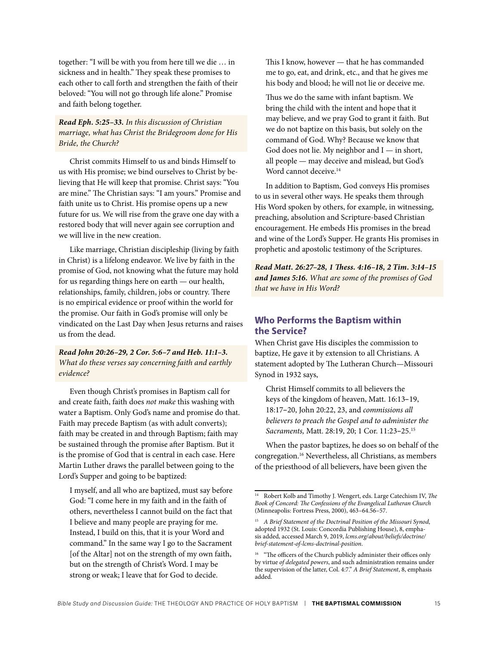together: "I will be with you from here till we die … in sickness and in health." They speak these promises to each other to call forth and strengthen the faith of their beloved: "You will not go through life alone." Promise and faith belong together.

#### *Read Eph. 5:25–33. In this discussion of Christian marriage, what has Christ the Bridegroom done for His Bride, the Church?*

Christ commits Himself to us and binds Himself to us with His promise; we bind ourselves to Christ by believing that He will keep that promise. Christ says: "You are mine." The Christian says: "I am yours." Promise and faith unite us to Christ. His promise opens up a new future for us. We will rise from the grave one day with a restored body that will never again see corruption and we will live in the new creation.

Like marriage, Christian discipleship (living by faith in Christ) is a lifelong endeavor. We live by faith in the promise of God, not knowing what the future may hold for us regarding things here on earth — our health, relationships, family, children, jobs or country. There is no empirical evidence or proof within the world for the promise. Our faith in God's promise will only be vindicated on the Last Day when Jesus returns and raises us from the dead.

*Read John 20:26–29, 2 Cor. 5:6–7 and Heb. 11:1–3. What do these verses say concerning faith and earthly evidence?*

Even though Christ's promises in Baptism call for and create faith, faith does *not make* this washing with water a Baptism. Only God's name and promise do that. Faith may precede Baptism (as with adult converts); faith may be created in and through Baptism; faith may be sustained through the promise after Baptism. But it is the promise of God that is central in each case. Here Martin Luther draws the parallel between going to the Lord's Supper and going to be baptized:

I myself, and all who are baptized, must say before God: "I come here in my faith and in the faith of others, nevertheless I cannot build on the fact that I believe and many people are praying for me. Instead, I build on this, that it is your Word and command." In the same way I go to the Sacrament [of the Altar] not on the strength of my own faith, but on the strength of Christ's Word. I may be strong or weak; I leave that for God to decide.

This I know, however — that he has commanded me to go, eat, and drink, etc., and that he gives me his body and blood; he will not lie or deceive me.

Thus we do the same with infant baptism. We bring the child with the intent and hope that it may believe, and we pray God to grant it faith. But we do not baptize on this basis, but solely on the command of God. Why? Because we know that God does not lie. My neighbor and  $I -$  in short, all people — may deceive and mislead, but God's Word cannot deceive.<sup>14</sup>

In addition to Baptism, God conveys His promises to us in several other ways. He speaks them through His Word spoken by others, for example, in witnessing, preaching, absolution and Scripture-based Christian encouragement. He embeds His promises in the bread and wine of the Lord's Supper. He grants His promises in prophetic and apostolic testimony of the Scriptures.

*Read Matt. 26:27–28, 1 Thess. 4:16–18, 2 Tim. 3:14–15 and James 5:16. What are some of the promises of God that we have in His Word?*

#### **Who Performs the Baptism within the Service?**

When Christ gave His disciples the commission to baptize, He gave it by extension to all Christians. A statement adopted by The Lutheran Church—Missouri Synod in 1932 says,

Christ Himself commits to all believers the keys of the kingdom of heaven, Matt. 16:13–19, 18:17–20, John 20:22, 23, and *commissions all believers to preach the Gospel and to administer the Sacraments,* Matt. 28:19, 20; 1 Cor. 11:23–25.15

When the pastor baptizes, he does so on behalf of the congregation.16 Nevertheless, all Christians, as members of the priesthood of all believers, have been given the

<sup>14</sup> Robert Kolb and Timothy J. Wengert, eds. Large Catechism IV, *The Book of Concord: The Confessions of the Evangelical Lutheran Church* (Minneapolis: Fortress Press, 2000), 463–64.56–57.

<sup>15</sup> *A Brief Statement of the Doctrinal Position of the Missouri Synod*, adopted 1932 (St. Louis: Concordia Publishing House), 8, emphasis added, accessed March 9, 2019, *[lcms.org/about/beliefs/doctrine/](http://lcms.org/about/beliefs/doctrine/brief-statement-of-lcms-doctrinal-position) [brief-statement-of-lcms-doctrinal-position](http://lcms.org/about/beliefs/doctrine/brief-statement-of-lcms-doctrinal-position)*.

<sup>&</sup>lt;sup>16</sup> "The officers of the Church publicly administer their offices only by virtue *of delegated powers*, and such administration remains under the supervision of the latter, Col. 4:7." *A Brief Statement*, 8, emphasis added.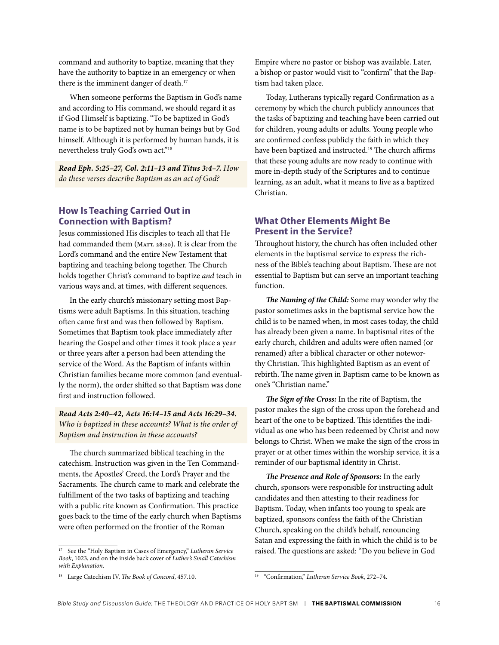command and authority to baptize, meaning that they have the authority to baptize in an emergency or when there is the imminent danger of death.<sup>17</sup>

When someone performs the Baptism in God's name and according to His command, we should regard it as if God Himself is baptizing. "To be baptized in God's name is to be baptized not by human beings but by God himself. Although it is performed by human hands, it is nevertheless truly God's own act."18

*Read Eph. 5:25–27, Col. 2:11–13 and Titus 3:4–7. How do these verses describe Baptism as an act of God?*

#### **How Is Teaching Carried Out in Connection with Baptism?**

Jesus commissioned His disciples to teach all that He had commanded them (MATT. 28:20). It is clear from the Lord's command and the entire New Testament that baptizing and teaching belong together. The Church holds together Christ's command to baptize *and* teach in various ways and, at times, with different sequences.

In the early church's missionary setting most Baptisms were adult Baptisms. In this situation, teaching often came first and was then followed by Baptism. Sometimes that Baptism took place immediately after hearing the Gospel and other times it took place a year or three years after a person had been attending the service of the Word. As the Baptism of infants within Christian families became more common (and eventually the norm), the order shifted so that Baptism was done first and instruction followed.

#### *Read Acts 2:40–42, Acts 16:14–15 and Acts 16:29–34. Who is baptized in these accounts? What is the order of Baptism and instruction in these accounts?*

The church summarized biblical teaching in the catechism. Instruction was given in the Ten Commandments, the Apostles' Creed, the Lord's Prayer and the Sacraments. The church came to mark and celebrate the fulfillment of the two tasks of baptizing and teaching with a public rite known as Confirmation. This practice goes back to the time of the early church when Baptisms were often performed on the frontier of the Roman

Empire where no pastor or bishop was available. Later, a bishop or pastor would visit to "confirm" that the Baptism had taken place.

Today, Lutherans typically regard Confirmation as a ceremony by which the church publicly announces that the tasks of baptizing and teaching have been carried out for children, young adults or adults. Young people who are confirmed confess publicly the faith in which they have been baptized and instructed.<sup>19</sup> The church affirms that these young adults are now ready to continue with more in-depth study of the Scriptures and to continue learning, as an adult, what it means to live as a baptized Christian.

#### **What Other Elements Might Be Present in the Service?**

Throughout history, the church has often included other elements in the baptismal service to express the richness of the Bible's teaching about Baptism. These are not essential to Baptism but can serve an important teaching function.

*The Naming of the Child:* Some may wonder why the pastor sometimes asks in the baptismal service how the child is to be named when, in most cases today, the child has already been given a name. In baptismal rites of the early church, children and adults were often named (or renamed) after a biblical character or other noteworthy Christian. This highlighted Baptism as an event of rebirth. The name given in Baptism came to be known as one's "Christian name."

*The Sign of the Cross:* In the rite of Baptism, the pastor makes the sign of the cross upon the forehead and heart of the one to be baptized. This identifies the individual as one who has been redeemed by Christ and now belongs to Christ. When we make the sign of the cross in prayer or at other times within the worship service, it is a reminder of our baptismal identity in Christ.

*The Presence and Role of Sponsors:* In the early church, sponsors were responsible for instructing adult candidates and then attesting to their readiness for Baptism. Today, when infants too young to speak are baptized, sponsors confess the faith of the Christian Church, speaking on the child's behalf, renouncing Satan and expressing the faith in which the child is to be raised. The questions are asked: "Do you believe in God

<sup>17</sup> See the "Holy Baptism in Cases of Emergency," *Lutheran Service Book*, 1023, and on the inside back cover of *Luther's Small Catechism with Explanation*.

<sup>18</sup> Large Catechism IV, *The Book of Concord*, 457.10.

<sup>19 &</sup>quot;Confirmation," *Lutheran Service Book*, 272–74.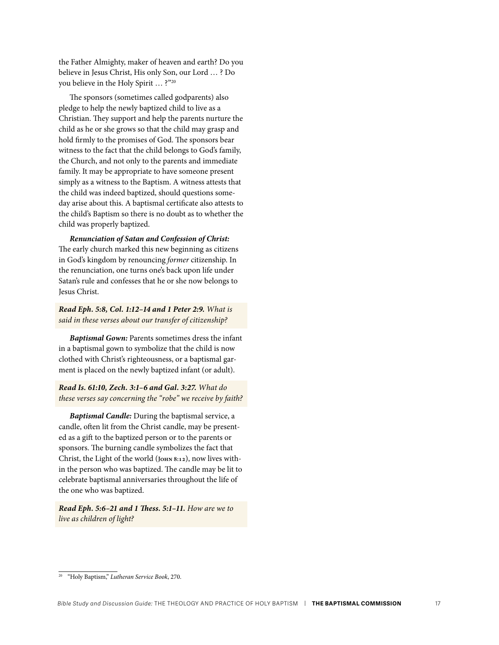the Father Almighty, maker of heaven and earth? Do you believe in Jesus Christ, His only Son, our Lord … ? Do you believe in the Holy Spirit … ?"20

The sponsors (sometimes called godparents) also pledge to help the newly baptized child to live as a Christian. They support and help the parents nurture the child as he or she grows so that the child may grasp and hold firmly to the promises of God. The sponsors bear witness to the fact that the child belongs to God's family, the Church, and not only to the parents and immediate family. It may be appropriate to have someone present simply as a witness to the Baptism. A witness attests that the child was indeed baptized, should questions someday arise about this. A baptismal certificate also attests to the child's Baptism so there is no doubt as to whether the child was properly baptized.

*Renunciation of Satan and Confession of Christ:* The early church marked this new beginning as citizens in God's kingdom by renouncing *former* citizenship. In the renunciation, one turns one's back upon life under Satan's rule and confesses that he or she now belongs to Jesus Christ.

*Read Eph. 5:8, Col. 1:12–14 and 1 Peter 2:9. What is said in these verses about our transfer of citizenship?*

*Baptismal Gown:* Parents sometimes dress the infant in a baptismal gown to symbolize that the child is now clothed with Christ's righteousness, or a baptismal garment is placed on the newly baptized infant (or adult).

*Read Is. 61:10, Zech. 3:1–6 and Gal. 3:27. What do these verses say concerning the "robe" we receive by faith?*

*Baptismal Candle:* During the baptismal service, a candle, often lit from the Christ candle, may be presented as a gift to the baptized person or to the parents or sponsors. The burning candle symbolizes the fact that Christ, the Light of the world (**John 8:12**), now lives within the person who was baptized. The candle may be lit to celebrate baptismal anniversaries throughout the life of the one who was baptized.

*Read Eph. 5:6–21 and 1 Thess. 5:1–11. How are we to live as children of light?* 

<sup>20 &</sup>quot;Holy Baptism," *Lutheran Service Book*, 270.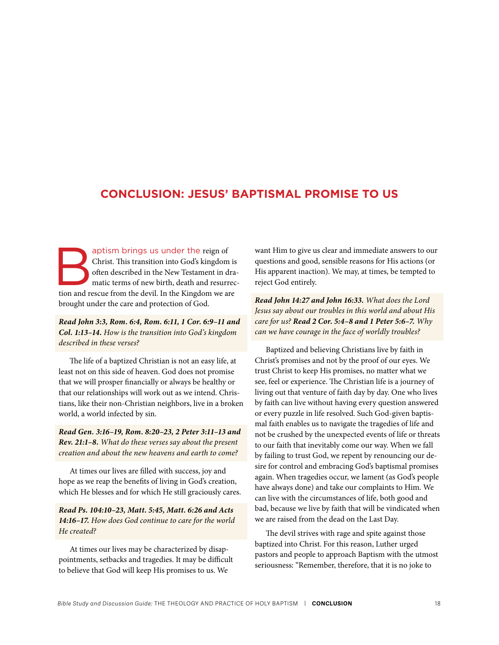### <span id="page-18-0"></span>**CONCLUSION: JESUS' BAPTISMAL PROMISE TO US**

aptism brings us under the reign of Christ. This transition into God's kingdom is often described in the New Testament in dramatic terms of new birth, death and resurrection and rescue from the devil. In the Kingdom we are Christ. This transition into God's kingdom is often described in the New Testament in dramatic terms of new birth, death and resurrecbrought under the care and protection of God.

*Read John 3:3, Rom. 6:4, Rom. 6:11, 1 Cor. 6:9–11 and Col. 1:13–14. How is the transition into God's kingdom described in these verses?*

The life of a baptized Christian is not an easy life, at least not on this side of heaven. God does not promise that we will prosper financially or always be healthy or that our relationships will work out as we intend. Christians, like their non-Christian neighbors, live in a broken world, a world infected by sin.

*Read Gen. 3:16–19, Rom. 8:20–23, 2 Peter 3:11–13 and Rev. 21:1–8. What do these verses say about the present creation and about the new heavens and earth to come?*

At times our lives are filled with success, joy and hope as we reap the benefits of living in God's creation, which He blesses and for which He still graciously cares.

*Read Ps. 104:10–23, Matt. 5:45, Matt. 6:26 and Acts 14:16–17. How does God continue to care for the world He created?*

At times our lives may be characterized by disappointments, setbacks and tragedies. It may be difficult to believe that God will keep His promises to us. We

want Him to give us clear and immediate answers to our questions and good, sensible reasons for His actions (or His apparent inaction). We may, at times, be tempted to reject God entirely.

*Read John 14:27 and John 16:33. What does the Lord Jesus say about our troubles in this world and about His care for us? Read 2 Cor. 5:4–8 and 1 Peter 5:6–7. Why can we have courage in the face of worldly troubles?*

Baptized and believing Christians live by faith in Christ's promises and not by the proof of our eyes. We trust Christ to keep His promises, no matter what we see, feel or experience. The Christian life is a journey of living out that venture of faith day by day. One who lives by faith can live without having every question answered or every puzzle in life resolved. Such God-given baptismal faith enables us to navigate the tragedies of life and not be crushed by the unexpected events of life or threats to our faith that inevitably come our way. When we fall by failing to trust God, we repent by renouncing our desire for control and embracing God's baptismal promises again. When tragedies occur, we lament (as God's people have always done) and take our complaints to Him. We can live with the circumstances of life, both good and bad, because we live by faith that will be vindicated when we are raised from the dead on the Last Day.

The devil strives with rage and spite against those baptized into Christ. For this reason, Luther urged pastors and people to approach Baptism with the utmost seriousness: "Remember, therefore, that it is no joke to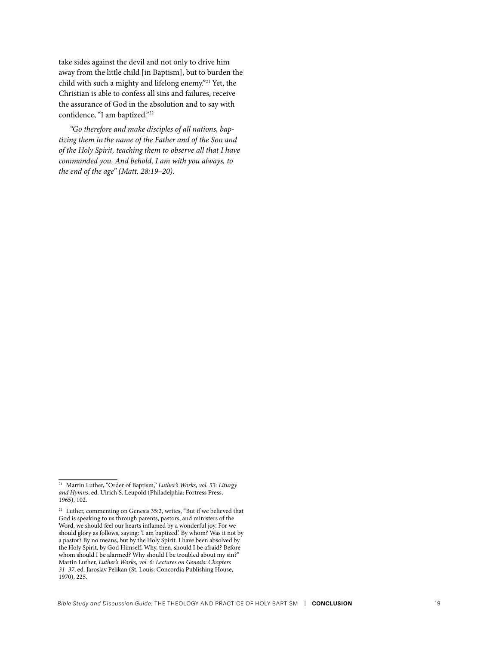take sides against the devil and not only to drive him away from the little child [in Baptism], but to burden the child with such a mighty and lifelong enemy."21 Yet, the Christian is able to confess all sins and failures, receive the assurance of God in the absolution and to say with confidence, "I am baptized."22

*"Go therefore and make disciples of all nations, baptizing them in the name of the Father and of the Son and of the Holy Spirit, teaching them to observe all that I have commanded you. And behold, I am with you always, to the end of the age" (Matt. 28:19–20).*

<sup>21</sup> Martin Luther, "Order of Baptism," *Luther's Works, vol. 53: Liturgy and Hymns*, ed. Ulrich S. Leupold (Philadelphia: Fortress Press, 1965), 102.

 $^{\rm 22}$  Luther, commenting on Genesis 35:2, writes, "But if we believed that God is speaking to us through parents, pastors, and ministers of the Word, we should feel our hearts inflamed by a wonderful joy. For we should glory as follows, saying: 'I am baptized.' By whom? Was it not by a pastor? By no means, but by the Holy Spirit. I have been absolved by the Holy Spirit, by God Himself. Why, then, should I be afraid? Before whom should I be alarmed? Why should I be troubled about my sin?" Martin Luther, *Luther's Works, vol. 6: Lectures on Genesis: Chapters 31–37*, ed. Jaroslav Pelikan (St. Louis: Concordia Publishing House, 1970), 225.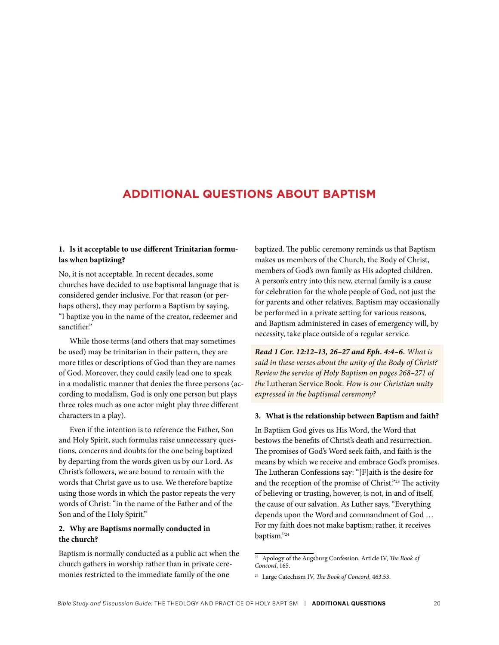## <span id="page-20-0"></span>**ADDITIONAL QUESTIONS ABOUT BAPTISM**

#### **1. Is it acceptable to use different Trinitarian formulas when baptizing?**

No, it is not acceptable. In recent decades, some churches have decided to use baptismal language that is considered gender inclusive. For that reason (or perhaps others), they may perform a Baptism by saying, "I baptize you in the name of the creator, redeemer and sanctifier."

While those terms (and others that may sometimes be used) may be trinitarian in their pattern, they are more titles or descriptions of God than they are names of God. Moreover, they could easily lead one to speak in a modalistic manner that denies the three persons (according to modalism, God is only one person but plays three roles much as one actor might play three different characters in a play).

Even if the intention is to reference the Father, Son and Holy Spirit, such formulas raise unnecessary questions, concerns and doubts for the one being baptized by departing from the words given us by our Lord. As Christ's followers, we are bound to remain with the words that Christ gave us to use. We therefore baptize using those words in which the pastor repeats the very words of Christ: "in the name of the Father and of the Son and of the Holy Spirit."

#### **2. Why are Baptisms normally conducted in the church?**

Baptism is normally conducted as a public act when the church gathers in worship rather than in private ceremonies restricted to the immediate family of the one

baptized. The public ceremony reminds us that Baptism makes us members of the Church, the Body of Christ, members of God's own family as His adopted children. A person's entry into this new, eternal family is a cause for celebration for the whole people of God, not just the for parents and other relatives. Baptism may occasionally be performed in a private setting for various reasons, and Baptism administered in cases of emergency will, by necessity, take place outside of a regular service.

*Read 1 Cor. 12:12–13, 26–27 and Eph. 4:4–6. What is said in these verses about the unity of the Body of Christ? Review the service of Holy Baptism on pages 268–271 of the* Lutheran Service Book*. How is our Christian unity expressed in the baptismal ceremony?*

#### **3. What is the relationship between Baptism and faith?**

In Baptism God gives us His Word, the Word that bestows the benefits of Christ's death and resurrection. The promises of God's Word seek faith, and faith is the means by which we receive and embrace God's promises. The Lutheran Confessions say: "[F]aith is the desire for and the reception of the promise of Christ."23 The activity of believing or trusting, however, is not, in and of itself, the cause of our salvation. As Luther says, "Everything depends upon the Word and commandment of God … For my faith does not make baptism; rather, it receives baptism."24

<sup>23</sup> Apology of the Augsburg Confession, Article IV, *The Book of Concord*, 165.

<sup>24</sup> Large Catechism IV, *The Book of Concord*, 463.53.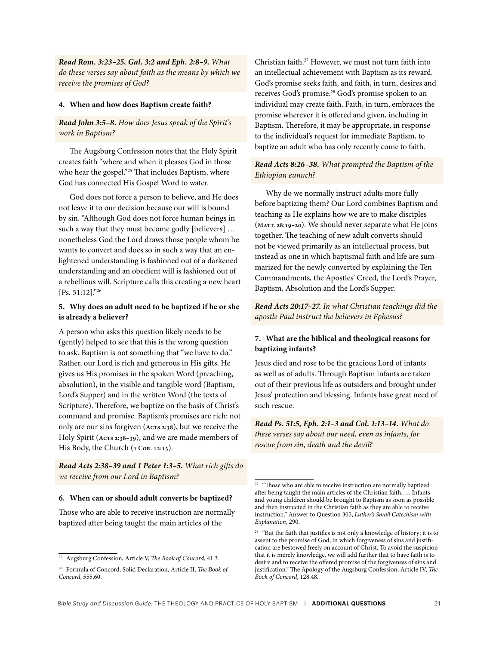*Read Rom. 3:23–25, Gal. 3:2 and Eph. 2:8–9. What do these verses say about faith as the means by which we receive the promises of God?*

#### **4. When and how does Baptism create faith?**

#### *Read John 3:5–8. How does Jesus speak of the Spirit's work in Baptism?*

The Augsburg Confession notes that the Holy Spirit creates faith "where and when it pleases God in those who hear the gospel."<sup>25</sup> That includes Baptism, where God has connected His Gospel Word to water.

God does not force a person to believe, and He does not leave it to our decision because our will is bound by sin. "Although God does not force human beings in such a way that they must become godly [believers] … nonetheless God the Lord draws those people whom he wants to convert and does so in such a way that an enlightened understanding is fashioned out of a darkened understanding and an obedient will is fashioned out of a rebellious will. Scripture calls this creating a new heart [Ps. 51:12]."26

#### **5. Why does an adult need to be baptized if he or she is already a believer?**

A person who asks this question likely needs to be (gently) helped to see that this is the wrong question to ask. Baptism is not something that "we have to do." Rather, our Lord is rich and generous in His gifts. He gives us His promises in the spoken Word (preaching, absolution), in the visible and tangible word (Baptism, Lord's Supper) and in the written Word (the texts of Scripture). Therefore, we baptize on the basis of Christ's command and promise. Baptism's promises are rich: not only are our sins forgiven (**Acts 2:38**), but we receive the Holy Spirit (**Acts 2:38–39**), and we are made members of His Body, the Church (**1 Cor. 12:13**).

*Read Acts 2:38–39 and 1 Peter 1:3–5. What rich gifts do we receive from our Lord in Baptism?*

#### **6. When can or should adult converts be baptized?**

Those who are able to receive instruction are normally baptized after being taught the main articles of the

Christian faith.27 However, we must not turn faith into an intellectual achievement with Baptism as its reward. God's promise seeks faith, and faith, in turn, desires and receives God's promise.28 God's promise spoken to an individual may create faith. Faith, in turn, embraces the promise wherever it is offered and given, including in Baptism. Therefore, it may be appropriate, in response to the individual's request for immediate Baptism, to baptize an adult who has only recently come to faith.

#### *Read Acts 8:26–38. What prompted the Baptism of the Ethiopian eunuch?*

Why do we normally instruct adults more fully before baptizing them? Our Lord combines Baptism and teaching as He explains how we are to make disciples (**Matt. 28:19–20**). We should never separate what He joins together. The teaching of new adult converts should not be viewed primarily as an intellectual process, but instead as one in which baptismal faith and life are summarized for the newly converted by explaining the Ten Commandments, the Apostles' Creed, the Lord's Prayer, Baptism, Absolution and the Lord's Supper.

*Read Acts 20:17–27. In what Christian teachings did the apostle Paul instruct the believers in Ephesus?*

#### **7. What are the biblical and theological reasons for baptizing infants?**

Jesus died and rose to be the gracious Lord of infants as well as of adults. Through Baptism infants are taken out of their previous life as outsiders and brought under Jesus' protection and blessing. Infants have great need of such rescue.

*Read Ps. 51:5, Eph. 2:1–3 and Col. 1:13–14. What do these verses say about our need, even as infants, for rescue from sin, death and the devil?*

<sup>25</sup> Augsburg Confession, Article V, *The Book of Concord*, 41.3.

<sup>26</sup> Formula of Concord, Solid Declaration, Article II, *The Book of Concord*, 555.60.

<sup>27</sup> "Those who are able to receive instruction are normally baptized after being taught the main articles of the Christian faith. … Infants and young children should be brought to Baptism as soon as possible and then instructed in the Christian faith as they are able to receive instruction." Answer to Question 305, *Luther's Small Catechism with Explanation*, 290.

 $28$  "But the faith that justifies is not only a knowledge of history; it is to assent to the promise of God, in which forgiveness of sins and justification are bestowed freely on account of Christ. To avoid the suspicion that it is merely knowledge, we will add further that to have faith is to desire and to receive the offered promise of the forgiveness of sins and justification." The Apology of the Augsburg Confession, Article IV, *The Book of Concord*, 128.48.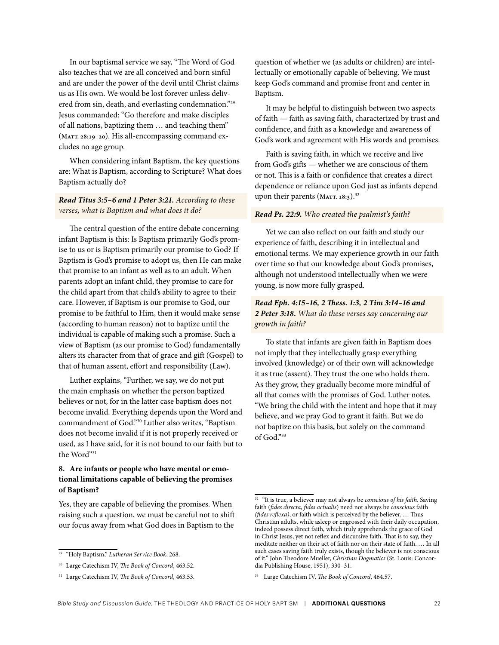In our baptismal service we say, "The Word of God also teaches that we are all conceived and born sinful and are under the power of the devil until Christ claims us as His own. We would be lost forever unless delivered from sin, death, and everlasting condemnation."29 Jesus commanded: "Go therefore and make disciples of all nations, baptizing them … and teaching them" (**Matt. 28:19–20**). His all-encompassing command excludes no age group.

When considering infant Baptism, the key questions are: What is Baptism, according to Scripture? What does Baptism actually do?

*Read Titus 3:5–6 and 1 Peter 3:21. According to these verses, what is Baptism and what does it do?*

The central question of the entire debate concerning infant Baptism is this: Is Baptism primarily God's promise to us or is Baptism primarily our promise to God? If Baptism is God's promise to adopt us, then He can make that promise to an infant as well as to an adult. When parents adopt an infant child, they promise to care for the child apart from that child's ability to agree to their care. However, if Baptism is our promise to God, our promise to be faithful to Him, then it would make sense (according to human reason) not to baptize until the individual is capable of making such a promise. Such a view of Baptism (as our promise to God) fundamentally alters its character from that of grace and gift (Gospel) to that of human assent, effort and responsibility (Law).

Luther explains, "Further, we say, we do not put the main emphasis on whether the person baptized believes or not, for in the latter case baptism does not become invalid. Everything depends upon the Word and commandment of God."30 Luther also writes, "Baptism does not become invalid if it is not properly received or used, as I have said, for it is not bound to our faith but to the Word"31

#### **8. Are infants or people who have mental or emotional limitations capable of believing the promises of Baptism?**

Yes, they are capable of believing the promises. When raising such a question, we must be careful not to shift our focus away from what God does in Baptism to the question of whether we (as adults or children) are intellectually or emotionally capable of believing. We must keep God's command and promise front and center in Baptism.

It may be helpful to distinguish between two aspects of faith — faith as saving faith, characterized by trust and confidence, and faith as a knowledge and awareness of God's work and agreement with His words and promises.

Faith is saving faith, in which we receive and live from God's gifts — whether we are conscious of them or not. This is a faith or confidence that creates a direct dependence or reliance upon God just as infants depend upon their parents (MATT. 18:3).<sup>32</sup>

#### *Read Ps. 22:9. Who created the psalmist's faith?*

Yet we can also reflect on our faith and study our experience of faith, describing it in intellectual and emotional terms. We may experience growth in our faith over time so that our knowledge about God's promises, although not understood intellectually when we were young, is now more fully grasped.

#### *Read Eph. 4:15–16, 2 Thess. 1:3, 2 Tim 3:14–16 and 2 Peter 3:18. What do these verses say concerning our growth in faith?*

To state that infants are given faith in Baptism does not imply that they intellectually grasp everything involved (knowledge) or of their own will acknowledge it as true (assent). They trust the one who holds them. As they grow, they gradually become more mindful of all that comes with the promises of God. Luther notes, "We bring the child with the intent and hope that it may believe, and we pray God to grant it faith. But we do not baptize on this basis, but solely on the command of God<sup>"33</sup>

<sup>29</sup> "Holy Baptism," *Lutheran Service Book*, 268.

<sup>30</sup> Large Catechism IV, *The Book of Concord*, 463.52.

<sup>31</sup> Large Catechism IV, *The Book of Concord*, 463.53.

<sup>32</sup> "It is true, a believer may not always be *conscious of his faith*. Saving faith (*fides directa, fides actualis*) need not always be *conscious* faith *(fides reflexa)*, or faith which is perceived by the believer. … Thus Christian adults, while asleep or engrossed with their daily occupation, indeed possess direct faith, which truly apprehends the grace of God in Christ Jesus, yet not reflex and discursive faith. That is to say, they meditate neither on their act of faith nor on their state of faith. … In all such cases saving faith truly exists, though the believer is not conscious of it." John Theodore Mueller, *Christian Dogmatics* (St. Louis: Concordia Publishing House, 1951), 330–31.

<sup>33</sup> Large Catechism IV, *The Book of Concord*, 464.57.